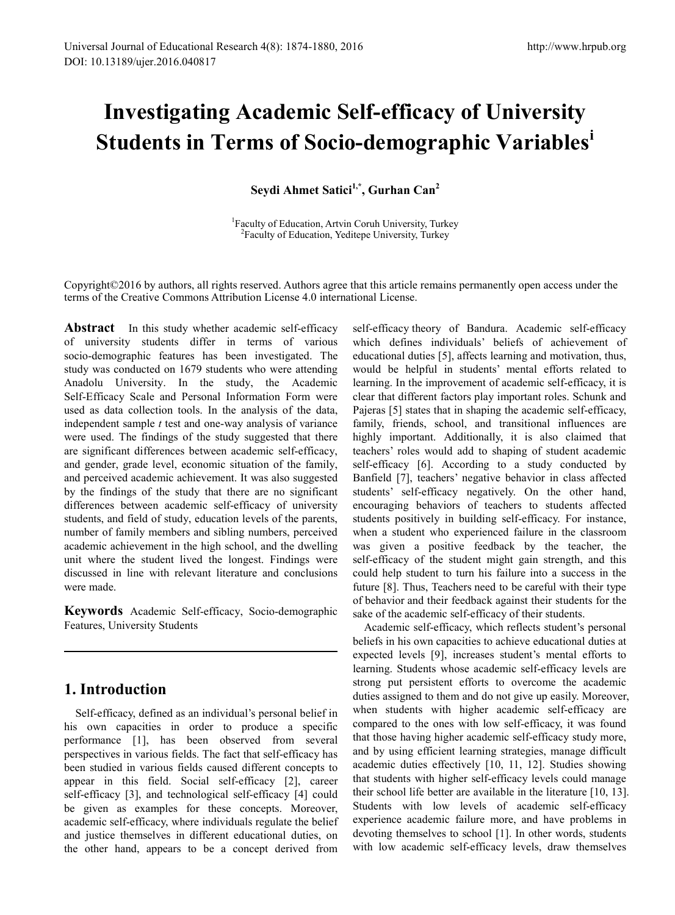# **Investigating Academic Self-efficacy of University Students in Terms of Socio-demographic Variables[i](#page-6-0)**

**Seydi Ahmet Satici1,\*, Gurhan Can2**

<sup>1</sup> Faculty of Education, Artvin Coruh University, Turkey <sup>2</sup>Faculty of Education, Yeditepe University, Turkey

Copyright©2016 by authors, all rights reserved. Authors agree that this article remains permanently open access under the terms of the Creative Commons Attribution License 4.0 international License.

**Abstract** In this study whether academic self-efficacy of university students differ in terms of various socio-demographic features has been investigated. The study was conducted on 1679 students who were attending Anadolu University. In the study, the Academic Self-Efficacy Scale and Personal Information Form were used as data collection tools. In the analysis of the data, independent sample *t* test and one-way analysis of variance were used. The findings of the study suggested that there are significant differences between academic self-efficacy, and gender, grade level, economic situation of the family, and perceived academic achievement. It was also suggested by the findings of the study that there are no significant differences between academic self-efficacy of university students, and field of study, education levels of the parents, number of family members and sibling numbers, perceived academic achievement in the high school, and the dwelling unit where the student lived the longest. Findings were discussed in line with relevant literature and conclusions were made.

**Keywords** Academic Self-efficacy, Socio-demographic Features, University Students

## **1. Introduction**

Self-efficacy, defined as an individual's personal belief in his own capacities in order to produce a specific performance [1], has been observed from several perspectives in various fields. The fact that self-efficacy has been studied in various fields caused different concepts to appear in this field. Social self-efficacy [2], career self-efficacy [3], and technological self-efficacy [4] could be given as examples for these concepts. Moreover, academic self-efficacy, where individuals regulate the belief and justice themselves in different educational duties, on the other hand, appears to be a concept derived from

self-efficacy theory of Bandura. Academic self-efficacy which defines individuals' beliefs of achievement of educational duties [5], affects learning and motivation, thus, would be helpful in students' mental efforts related to learning. In the improvement of academic self-efficacy, it is clear that different factors play important roles. Schunk and Pajeras [5] states that in shaping the academic self-efficacy, family, friends, school, and transitional influences are highly important. Additionally, it is also claimed that teachers' roles would add to shaping of student academic self-efficacy [6]. According to a study conducted by Banfield [7], teachers' negative behavior in class affected students' self-efficacy negatively. On the other hand, encouraging behaviors of teachers to students affected students positively in building self-efficacy. For instance, when a student who experienced failure in the classroom was given a positive feedback by the teacher, the self-efficacy of the student might gain strength, and this could help student to turn his failure into a success in the future [8]. Thus, Teachers need to be careful with their type of behavior and their feedback against their students for the sake of the academic self-efficacy of their students.

Academic self-efficacy, which reflects student's personal beliefs in his own capacities to achieve educational duties at expected levels [9], increases student's mental efforts to learning. Students whose academic self-efficacy levels are strong put persistent efforts to overcome the academic duties assigned to them and do not give up easily. Moreover, when students with higher academic self-efficacy are compared to the ones with low self-efficacy, it was found that those having higher academic self-efficacy study more, and by using efficient learning strategies, manage difficult academic duties effectively [10, 11, 12]. Studies showing that students with higher self-efficacy levels could manage their school life better are available in the literature [10, 13]. Students with low levels of academic self-efficacy experience academic failure more, and have problems in devoting themselves to school [1]. In other words, students with low academic self-efficacy levels, draw themselves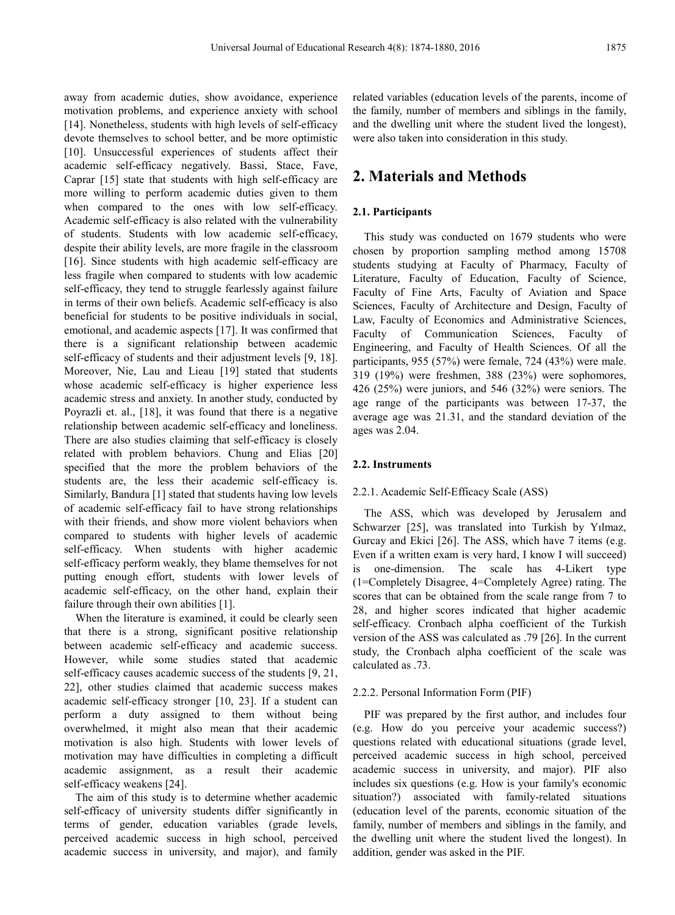away from academic duties, show avoidance, experience motivation problems, and experience anxiety with school [14]. Nonetheless, students with high levels of self-efficacy devote themselves to school better, and be more optimistic [10]. Unsuccessful experiences of students affect their academic self-efficacy negatively. Bassi, Stace, Fave, Caprar [15] state that students with high self-efficacy are more willing to perform academic duties given to them when compared to the ones with low self-efficacy. Academic self-efficacy is also related with the vulnerability of students. Students with low academic self-efficacy, despite their ability levels, are more fragile in the classroom [16]. Since students with high academic self-efficacy are less fragile when compared to students with low academic self-efficacy, they tend to struggle fearlessly against failure in terms of their own beliefs. Academic self-efficacy is also beneficial for students to be positive individuals in social, emotional, and academic aspects [17]. It was confirmed that there is a significant relationship between academic self-efficacy of students and their adjustment levels [9, 18]. Moreover, Nie, Lau and Lieau [19] stated that students whose academic self-efficacy is higher experience less academic stress and anxiety. In another study, conducted by Poyrazli et. al., [18], it was found that there is a negative relationship between academic self-efficacy and loneliness. There are also studies claiming that self-efficacy is closely related with problem behaviors. Chung and Elias [20] specified that the more the problem behaviors of the students are, the less their academic self-efficacy is. Similarly, Bandura [1] stated that students having low levels of academic self-efficacy fail to have strong relationships with their friends, and show more violent behaviors when compared to students with higher levels of academic self-efficacy. When students with higher academic self-efficacy perform weakly, they blame themselves for not putting enough effort, students with lower levels of academic self-efficacy, on the other hand, explain their failure through their own abilities [1].

When the literature is examined, it could be clearly seen that there is a strong, significant positive relationship between academic self-efficacy and academic success. However, while some studies stated that academic self-efficacy causes academic success of the students [9, 21, 22], other studies claimed that academic success makes academic self-efficacy stronger [10, 23]. If a student can perform a duty assigned to them without being overwhelmed, it might also mean that their academic motivation is also high. Students with lower levels of motivation may have difficulties in completing a difficult academic assignment, as a result their academic self-efficacy weakens [24].

The aim of this study is to determine whether academic self-efficacy of university students differ significantly in terms of gender, education variables (grade levels, perceived academic success in high school, perceived academic success in university, and major), and family

related variables (education levels of the parents, income of the family, number of members and siblings in the family, and the dwelling unit where the student lived the longest), were also taken into consideration in this study.

## **2. Materials and Methods**

#### **2.1. Participants**

This study was conducted on 1679 students who were chosen by proportion sampling method among 15708 students studying at Faculty of Pharmacy, Faculty of Literature, Faculty of Education, Faculty of Science, Faculty of Fine Arts, Faculty of Aviation and Space Sciences, Faculty of Architecture and Design, Faculty of Law, Faculty of Economics and Administrative Sciences, Faculty of Communication Sciences, Faculty of Engineering, and Faculty of Health Sciences. Of all the participants, 955 (57%) were female, 724 (43%) were male. 319 (19%) were freshmen, 388 (23%) were sophomores, 426 (25%) were juniors, and 546 (32%) were seniors. The age range of the participants was between 17-37, the average age was 21.31, and the standard deviation of the ages was 2.04.

#### **2.2. Instruments**

#### 2.2.1. Academic Self-Efficacy Scale (ASS)

The ASS, which was developed by Jerusalem and Schwarzer [25], was translated into Turkish by Yılmaz, Gurcay and Ekici [26]. The ASS, which have 7 items (e.g. Even if a written exam is very hard, I know I will succeed) is one-dimension. The scale has 4-Likert type (1=Completely Disagree, 4=Completely Agree) rating. The scores that can be obtained from the scale range from 7 to 28, and higher scores indicated that higher academic self-efficacy. Cronbach alpha coefficient of the Turkish version of the ASS was calculated as .79 [26]. In the current study, the Cronbach alpha coefficient of the scale was calculated as .73.

#### 2.2.2. Personal Information Form (PIF)

PIF was prepared by the first author, and includes four (e.g. How do you perceive your academic success?) questions related with educational situations (grade level, perceived academic success in high school, perceived academic success in university, and major). PIF also includes six questions (e.g. How is your family's economic situation?) associated with family-related situations (education level of the parents, economic situation of the family, number of members and siblings in the family, and the dwelling unit where the student lived the longest). In addition, gender was asked in the PIF.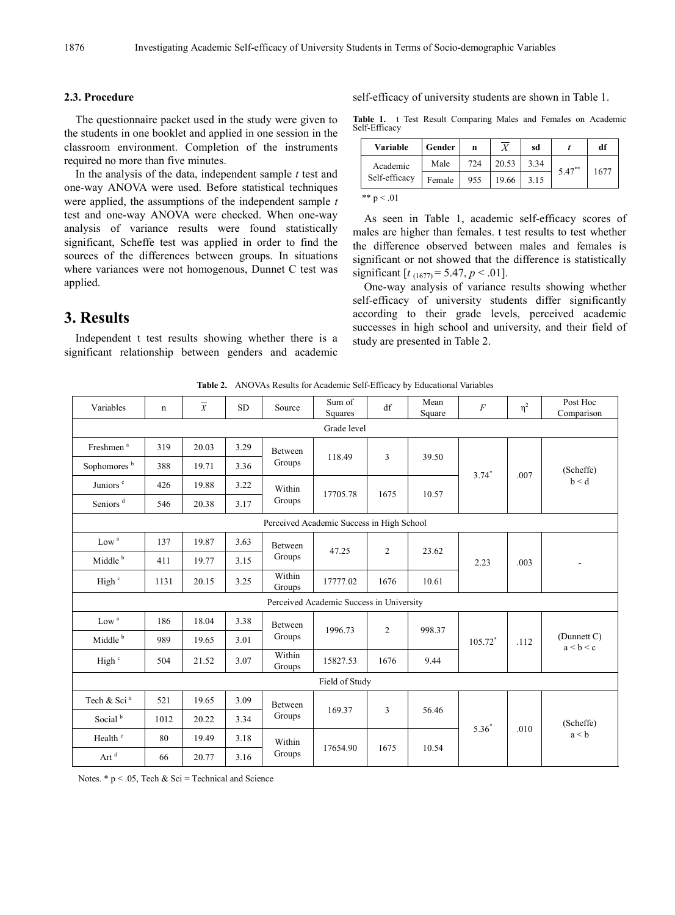#### **2.3. Procedure**

The questionnaire packet used in the study were given to the students in one booklet and applied in one session in the classroom environment. Completion of the instruments required no more than five minutes.

In the analysis of the data, independent sample *t* test and one-way ANOVA were used. Before statistical techniques were applied, the assumptions of the independent sample *t* test and one-way ANOVA were checked. When one-way analysis of variance results were found statistically significant, Scheffe test was applied in order to find the sources of the differences between groups. In situations where variances were not homogenous, Dunnet C test was applied.

## **3. Results**

Independent t test results showing whether there is a significant relationship between genders and academic self-efficacy of university students are shown in Table 1.

**Table 1.** t Test Result Comparing Males and Females on Academic Self-Efficacy

| <b>Variable</b>           | Gender | n   | $\overline{X}$ | sd   |           | df   |
|---------------------------|--------|-----|----------------|------|-----------|------|
| Academic<br>Self-efficacy | Male   | 724 | 20.53          | 3.34 | $5.47***$ | 1677 |
|                           | Female | 955 | 19.66          | 3.15 |           |      |
| ** $p < .01$              |        |     |                |      |           |      |

As seen in Table 1, academic self-efficacy scores of males are higher than females. t test results to test whether the difference observed between males and females is significant or not showed that the difference is statistically significant  $[t_{(1677)} = 5.47, p < .01]$ .

One-way analysis of variance results showing whether self-efficacy of university students differ significantly according to their grade levels, perceived academic successes in high school and university, and their field of study are presented in Table 2.

**Table 2.** ANOVAs Results for Academic Self-Efficacy by Educational Variables

| Variables                                 | $\mathbf n$ | $\overline{X}$ | <b>SD</b> | Source            | Sum of<br>Squares | df             | Mean<br>Square | $\cal F$ | $\eta^2$ | Post Hoc<br>Comparison         |
|-------------------------------------------|-------------|----------------|-----------|-------------------|-------------------|----------------|----------------|----------|----------|--------------------------------|
| Grade level                               |             |                |           |                   |                   |                |                |          |          |                                |
| Freshmen <sup>a</sup>                     | 319         | 20.03          | 3.29      | Between           | 118.49            | 3              | 39.50          | $3.74*$  | .007     | (Scheffe)<br>b < d             |
| Sophomores <sup>b</sup>                   | 388         | 19.71          | 3.36      | Groups            |                   |                |                |          |          |                                |
| Juniors <sup>c</sup>                      | 426         | 19.88          | 3.22      | Within            | 17705.78          | 1675           |                |          |          |                                |
| Seniors <sup>d</sup>                      | 546         | 20.38          | 3.17      | Groups            |                   |                | 10.57          |          |          |                                |
| Perceived Academic Success in High School |             |                |           |                   |                   |                |                |          |          |                                |
| $\rm Low$ $^{\rm a}$                      | 137         | 19.87          | 3.63      | Between           | 47.25             | $\overline{c}$ | 23.62          | 2.23     | .003     |                                |
| Middle <sup>b</sup>                       | 411         | 19.77          | 3.15      | Groups            |                   |                |                |          |          |                                |
| High <sup>c</sup>                         | 1131        | 20.15          | 3.25      | Within<br>Groups  | 17777.02          | 1676           | 10.61          |          |          |                                |
| Perceived Academic Success in University  |             |                |           |                   |                   |                |                |          |          |                                |
| $\rm Low$ $^{\rm a}$                      | 186         | 18.04          | 3.38      | Between<br>Groups | 1996.73           | $\overline{2}$ | 998.37         | 105.72*  | .112     | $(D$ unnett $C$ )<br>a < b < c |
| Middle <sup>b</sup>                       | 989         | 19.65          | 3.01      |                   |                   |                |                |          |          |                                |
| High <sup>c</sup>                         | 504         | 21.52          | 3.07      | Within<br>Groups  | 15827.53          | 1676           | 9.44           |          |          |                                |
| Field of Study                            |             |                |           |                   |                   |                |                |          |          |                                |
| Tech & Sci <sup>a</sup>                   | 521         | 19.65          | 3.09      | Between<br>Groups | 169.37            | 3              | 56.46          | $5.36^*$ | .010     | (Scheffe)<br>a < b             |
| Social <sup>b</sup>                       | 1012        | 20.22          | 3.34      |                   |                   |                |                |          |          |                                |
| Health <sup>c</sup>                       | 80          | 19.49          | 3.18      | Within<br>Groups  | 17654.90          | 1675           | 10.54          |          |          |                                |
| Art $^{\rm d}$                            | 66          | 20.77          | 3.16      |                   |                   |                |                |          |          |                                |

Notes.  $* p < .05$ , Tech & Sci = Technical and Science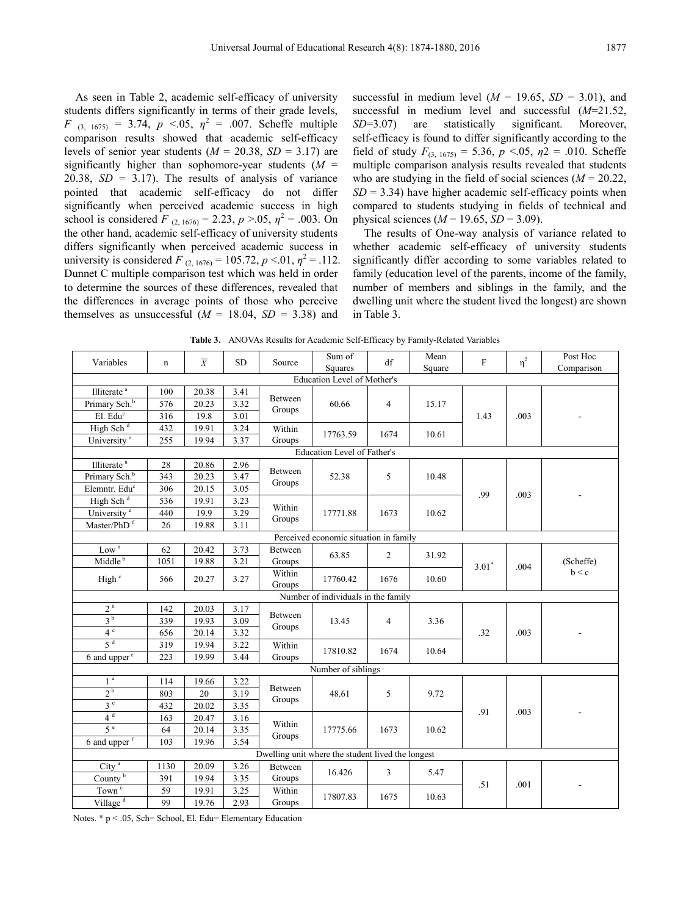As seen in Table 2, academic self-efficacy of university students differs significantly in terms of their grade levels, *F* (3, 1675) = 3.74, *p* <.05,  $\eta^2$  = .007. Scheffe multiple comparison results showed that academic self-efficacy levels of senior year students  $(M = 20.38, SD = 3.17)$  are significantly higher than sophomore-year students (*M* = 20.38,  $SD = 3.17$ ). The results of analysis of variance pointed that academic self-efficacy do not differ significantly when perceived academic success in high school is considered *F* (2, 1676) = 2.23,  $p > 0.05$ ,  $\eta^2 = 0.003$ . On the other hand, academic self-efficacy of university students differs significantly when perceived academic success in university is considered *F* (2, 1676) = 105.72,  $p < 0.01$ ,  $\eta^2 = .112$ . Dunnet C multiple comparison test which was held in order to determine the sources of these differences, revealed that the differences in average points of those who perceive themselves as unsuccessful  $(M = 18.04, SD = 3.38)$  and

successful in medium level ( $M = 19.65$ ,  $SD = 3.01$ ), and successful in medium level and successful (*M*=21.52, *SD*=3.07) are statistically significant. Moreover, self-efficacy is found to differ significantly according to the field of study  $F_{(3, 1675)} = 5.36$ ,  $p < 0.05$ ,  $p = .010$ . Scheffe multiple comparison analysis results revealed that students who are studying in the field of social sciences ( $M = 20.22$ ,  $SD = 3.34$ ) have higher academic self-efficacy points when compared to students studying in fields of technical and physical sciences  $(M = 19.65, SD = 3.09)$ .

The results of One-way analysis of variance related to whether academic self-efficacy of university students significantly differ according to some variables related to family (education level of the parents, income of the family, number of members and siblings in the family, and the dwelling unit where the student lived the longest) are shown in Table 3.

**Table 3.** ANOVAs Results for Academic Self-Efficacy by Family-Related Variables

| Variables                                         | $\mathbf n$                         | $\overline{X}$ | <b>SD</b> | Source            | Sum of<br>Squares                  | df                     | Mean<br>Square | F       | $\eta^2$ | Post Hoc<br>Comparison |
|---------------------------------------------------|-------------------------------------|----------------|-----------|-------------------|------------------------------------|------------------------|----------------|---------|----------|------------------------|
| <b>Education Level of Mother's</b>                |                                     |                |           |                   |                                    |                        |                |         |          |                        |
| Illiterate <sup>a</sup>                           | 100                                 | 20.38          | 3.41      |                   | 60.66                              | $\overline{4}$<br>1674 | 15.17<br>10.61 | 1.43    |          |                        |
| Primary Sch. <sup>b</sup>                         | 576                                 | 20.23          | 3.32      | Between<br>Groups |                                    |                        |                |         | .003     |                        |
| El. Edu <sup>c</sup>                              | 316                                 | 19.8           | 3.01      |                   |                                    |                        |                |         |          |                        |
| High Sch <sup>d</sup>                             | 432                                 | 19.91          | 3.24      | Within            | 17763.59                           |                        |                |         |          |                        |
| University <sup>e</sup>                           | 255                                 | 19.94          | 3.37      | Groups            |                                    |                        |                |         |          |                        |
|                                                   |                                     |                |           |                   | <b>Education Level of Father's</b> |                        |                |         |          |                        |
| Illiterate <sup>a</sup>                           | 28                                  | 20.86          | 2.96      | <b>Between</b>    |                                    |                        |                |         |          |                        |
| Primary Sch. <sup>b</sup>                         | 343                                 | 20.23          | 3.47      | Groups            | 52.38                              | 5                      | 10.48          |         |          |                        |
| Elemntr. Edu <sup>c</sup>                         | 306                                 | 20.15          | 3.05      |                   |                                    |                        |                | .99     | .003     |                        |
| High Sch <sup>d</sup>                             | 536                                 | 19.91          | 3.23      | Within            |                                    |                        |                |         |          |                        |
| University <sup>e</sup>                           | 440                                 | 19.9           | 3.29      | Groups            | 17771.88                           | 1673                   | 10.62          |         |          |                        |
| Master/PhD <sup>f</sup>                           | 26                                  | 19.88          | 3.11      |                   |                                    |                        |                |         |          |                        |
| Perceived economic situation in family            |                                     |                |           |                   |                                    |                        |                |         |          |                        |
| Low $^a$                                          | 62                                  | 20.42          | 3.73      | Between           | 63.85                              | $\overline{2}$         | 31.92          | $3.01*$ | .004     | (Scheffe)<br>b < c     |
| Middle <sup>b</sup>                               | 1051                                | 19.88          | 3.21      | Groups            |                                    |                        |                |         |          |                        |
| High <sup>c</sup>                                 | 566                                 | 20.27          | 3.27      | Within<br>Groups  | 17760.42                           | 1676                   | 10.60          |         |          |                        |
|                                                   | Number of individuals in the family |                |           |                   |                                    |                        |                |         |          |                        |
| 2 <sup>a</sup>                                    | 142                                 | 20.03          | 3.17      |                   |                                    |                        |                |         |          |                        |
| 3 <sup>b</sup>                                    | 339                                 | 19.93          | 3.09      | Between<br>Groups | 13.45                              | $\overline{4}$         | 3.36           |         |          |                        |
| 4c                                                | 656                                 | 20.14          | 3.32      |                   |                                    |                        |                | .32     | .003     |                        |
| 5 <sup>d</sup>                                    | 319                                 | 19.94          | 3.22      | Within            | 17810.82                           | 1674                   | 10.64          |         |          |                        |
| 6 and upper <sup>e</sup>                          | 223                                 | 19.99          | 3.44      | Groups            |                                    |                        |                |         |          |                        |
|                                                   |                                     |                |           |                   | Number of siblings                 |                        |                |         |          |                        |
| 1 <sup>a</sup>                                    | 114                                 | 19.66          | 3.22      | <b>Between</b>    |                                    |                        |                |         |          |                        |
| 2 <sub>b</sub>                                    | 803                                 | 20             | 3.19      | Groups            | 48.61                              | 5                      | 9.72           | .91     | .003     |                        |
| $3^c$                                             | 432                                 | 20.02          | 3.35      |                   |                                    |                        |                |         |          |                        |
| 4 <sup>d</sup>                                    | 163                                 | 20.47          | 3.16      | Within<br>Groups  | 17775.66                           | 1673                   | 10.62          |         |          |                        |
| 5e                                                | 64                                  | 20.14          | 3.35      |                   |                                    |                        |                |         |          |                        |
| 6 and upper f                                     | 103                                 | 19.96          | 3.54      |                   |                                    |                        |                |         |          |                        |
| Dwelling unit where the student lived the longest |                                     |                |           |                   |                                    |                        |                |         |          |                        |
| City <sup>a</sup>                                 | 1130                                | 20.09          | 3.26      | <b>Between</b>    | 16.426<br>17807.83                 | 3                      | 5.47           | .51     | .001     |                        |
| $\overline{\text{Country}^b}$                     | 391                                 | 19.94          | 3.35      | Groups            |                                    |                        |                |         |          |                        |
| $\overline{\operatorname{Town}^{\,\mathrm{c}}}$   | 59                                  | 19.91          | 3.25      | Within            |                                    | 1675                   | 10.63          |         |          |                        |
| Village <sup>d</sup>                              | 99                                  | 19.76          | 2.93      | Groups            |                                    |                        |                |         |          |                        |

Notes. \* p < .05, Sch= School, El. Edu= Elementary Education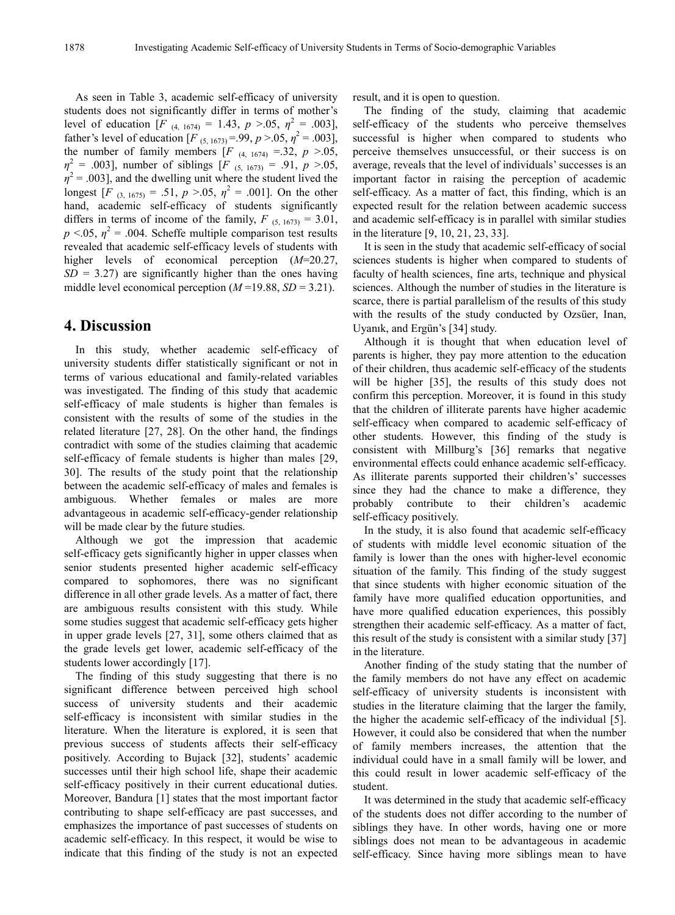As seen in Table 3, academic self-efficacy of university students does not significantly differ in terms of mother's level of education  $[F_{(4, 1674)} = 1.43, p > 0.05, \eta^2 = .003]$ , father's level of education  $[F_{(5, 1673)} = .99, p > .05, \eta^2 = .003]$ , the number of family members  $[F_{(4, 1674)} = .32, p > .05]$  $\eta^2$  = .003], number of siblings [*F* (5, 1673) = .91, *p* >.05,  $\eta^2$  = .003], and the dwelling unit where the student lived the longest  $[F_{(3, 1675)} = .51, p > .05, \eta^2 = .001]$ . On the other hand, academic self-efficacy of students significantly differs in terms of income of the family,  $F_{(5, 1673)} = 3.01$ ,  $p < 0.05$ ,  $\eta^2 = 0.004$ . Scheffe multiple comparison test results revealed that academic self-efficacy levels of students with higher levels of economical perception (*M*=20.27,  $SD = 3.27$  are significantly higher than the ones having middle level economical perception  $(M=19.88, SD=3.21)$ .

## **4. Discussion**

In this study, whether academic self-efficacy of university students differ statistically significant or not in terms of various educational and family-related variables was investigated. The finding of this study that academic self-efficacy of male students is higher than females is consistent with the results of some of the studies in the related literature [27, 28]. On the other hand, the findings contradict with some of the studies claiming that academic self-efficacy of female students is higher than males [29, 30]. The results of the study point that the relationship between the academic self-efficacy of males and females is ambiguous. Whether females or males are more advantageous in academic self-efficacy-gender relationship will be made clear by the future studies.

Although we got the impression that academic self-efficacy gets significantly higher in upper classes when senior students presented higher academic self-efficacy compared to sophomores, there was no significant difference in all other grade levels. As a matter of fact, there are ambiguous results consistent with this study. While some studies suggest that academic self-efficacy gets higher in upper grade levels [27, 31], some others claimed that as the grade levels get lower, academic self-efficacy of the students lower accordingly [17].

The finding of this study suggesting that there is no significant difference between perceived high school success of university students and their academic self-efficacy is inconsistent with similar studies in the literature. When the literature is explored, it is seen that previous success of students affects their self-efficacy positively. According to Bujack [32], students' academic successes until their high school life, shape their academic self-efficacy positively in their current educational duties. Moreover, Bandura [1] states that the most important factor contributing to shape self-efficacy are past successes, and emphasizes the importance of past successes of students on academic self-efficacy. In this respect, it would be wise to indicate that this finding of the study is not an expected

result, and it is open to question.

The finding of the study, claiming that academic self-efficacy of the students who perceive themselves successful is higher when compared to students who perceive themselves unsuccessful, or their success is on average, reveals that the level of individuals' successes is an important factor in raising the perception of academic self-efficacy. As a matter of fact, this finding, which is an expected result for the relation between academic success and academic self-efficacy is in parallel with similar studies in the literature [9, 10, 21, 23, 33].

It is seen in the study that academic self-efficacy of social sciences students is higher when compared to students of faculty of health sciences, fine arts, technique and physical sciences. Although the number of studies in the literature is scarce, there is partial parallelism of the results of this study with the results of the study conducted by Ozsüer, Inan, Uyanık, and Ergün's [34] study.

Although it is thought that when education level of parents is higher, they pay more attention to the education of their children, thus academic self-efficacy of the students will be higher [35], the results of this study does not confirm this perception. Moreover, it is found in this study that the children of illiterate parents have higher academic self-efficacy when compared to academic self-efficacy of other students. However, this finding of the study is consistent with Millburg's [36] remarks that negative environmental effects could enhance academic self-efficacy. As illiterate parents supported their children's' successes since they had the chance to make a difference, they probably contribute to their children's academic self-efficacy positively.

In the study, it is also found that academic self-efficacy of students with middle level economic situation of the family is lower than the ones with higher-level economic situation of the family. This finding of the study suggest that since students with higher economic situation of the family have more qualified education opportunities, and have more qualified education experiences, this possibly strengthen their academic self-efficacy. As a matter of fact, this result of the study is consistent with a similar study [37] in the literature.

Another finding of the study stating that the number of the family members do not have any effect on academic self-efficacy of university students is inconsistent with studies in the literature claiming that the larger the family, the higher the academic self-efficacy of the individual [5]. However, it could also be considered that when the number of family members increases, the attention that the individual could have in a small family will be lower, and this could result in lower academic self-efficacy of the student.

It was determined in the study that academic self-efficacy of the students does not differ according to the number of siblings they have. In other words, having one or more siblings does not mean to be advantageous in academic self-efficacy. Since having more siblings mean to have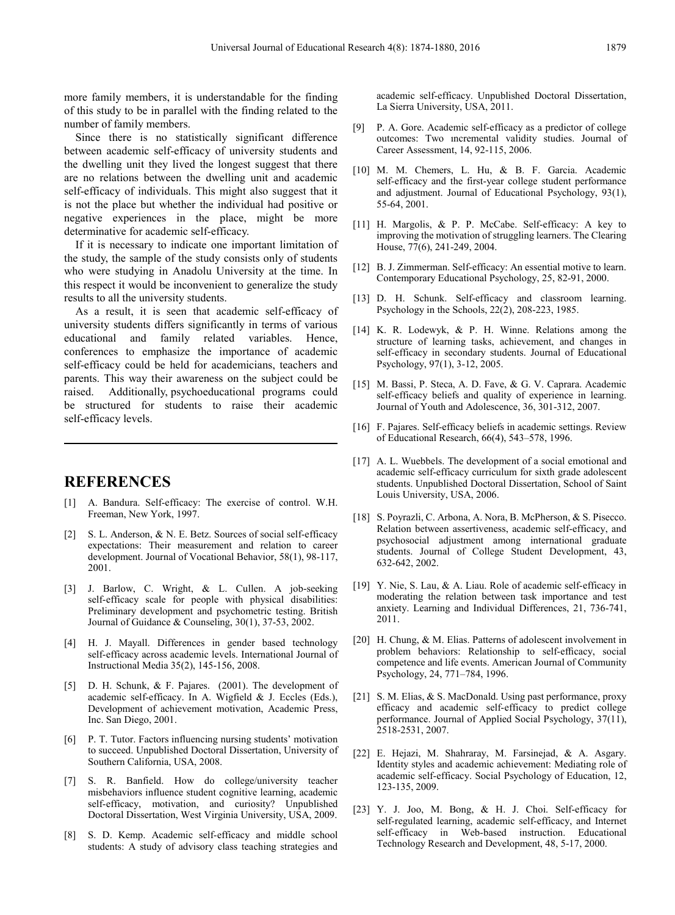more family members, it is understandable for the finding of this study to be in parallel with the finding related to the number of family members.

Since there is no statistically significant difference between academic self-efficacy of university students and the dwelling unit they lived the longest suggest that there are no relations between the dwelling unit and academic self-efficacy of individuals. This might also suggest that it is not the place but whether the individual had positive or negative experiences in the place, might be more determinative for academic self-efficacy.

If it is necessary to indicate one important limitation of the study, the sample of the study consists only of students who were studying in Anadolu University at the time. In this respect it would be inconvenient to generalize the study results to all the university students.

As a result, it is seen that academic self-efficacy of university students differs significantly in terms of various educational and family related variables. Hence, conferences to emphasize the importance of academic self-efficacy could be held for academicians, teachers and parents. This way their awareness on the subject could be raised. Additionally, psychoeducational programs could be structured for students to raise their academic self-efficacy levels.

## **REFERENCES**

- [1] A. Bandura. Self-efficacy: The exercise of control. W.H. Freeman, New York, 1997.
- [2] S. L. Anderson, & N. E. Betz. Sources of social self-efficacy expectations: Their measurement and relation to career development. Journal of Vocational Behavior, 58(1), 98-117, 2001.
- [3] J. Barlow, C. Wright, & L. Cullen. A job-seeking self-efficacy scale for people with physical disabilities: Preliminary development and psychometric testing. British Journal of Guidance & Counseling, 30(1), 37-53, 2002.
- [4] H. J. Mayall. Differences in gender based technology self-efficacy across academic levels. International Journal of Instructional Media 35(2), 145-156, 2008.
- [5] D. H. Schunk, & F. Pajares. (2001). The development of academic self-efficacy. In A. Wigfield & J. Eccles (Eds.), Development of achievement motivation, Academic Press, Inc. San Diego, 2001.
- [6] P. T. Tutor. Factors influencing nursing students' motivation to succeed. Unpublished Doctoral Dissertation, University of Southern California, USA, 2008.
- [7] S. R. Banfield. How do college/university teacher misbehaviors influence student cognitive learning, academic self-efficacy, motivation, and curiosity? Unpublished Doctoral Dissertation, West Virginia University, USA, 2009.
- [8] S. D. Kemp. Academic self-efficacy and middle school students: A study of advisory class teaching strategies and

academic self-efficacy. Unpublished Doctoral Dissertation, La Sierra University, USA, 2011.

- [9] P. A. Gore. Academic self-efficacy as a predictor of college outcomes: Two ıncremental validity studies. Journal of Career Assessment, 14, 92-115, 2006.
- [10] M. M. Chemers, L. Hu, & B. F. Garcia. Academic self-efficacy and the first-year college student performance and adjustment. Journal of Educational Psychology, 93(1), 55-64, 2001.
- [11] H. Margolis, & P. P. McCabe. Self-efficacy: A key to improving the motivation of struggling learners. The Clearing House, 77(6), 241-249, 2004.
- [12] B. J. Zimmerman. Self-efficacy: An essential motive to learn. Contemporary Educational Psychology, 25, 82-91, 2000.
- [13] D. H. Schunk. Self-efficacy and classroom learning. Psychology in the Schools, 22(2), 208-223, 1985.
- [14] K. R. Lodewyk, & P. H. Winne. Relations among the structure of learning tasks, achievement, and changes in self-efficacy in secondary students. Journal of Educational Psychology, 97(1), 3-12, 2005.
- [15] M. Bassi, P. Steca, A. D. Fave, & G. V. Caprara. Academic self-efficacy beliefs and quality of experience in learning. Journal of Youth and Adolescence, 36, 301-312, 2007.
- [16] F. Pajares. Self-efficacy beliefs in academic settings. Review of Educational Research, 66(4), 543–578, 1996.
- [17] A. L. Wuebbels. The development of a social emotional and academic self-efficacy curriculum for sixth grade adolescent students. Unpublished Doctoral Dissertation, School of Saint Louis University, USA, 2006.
- [18] S. Poyrazli, C. Arbona, A. Nora, B. McPherson, & S. Pisecco. Relation between assertiveness, academic self-efficacy, and psychosocial adjustment among international graduate students. Journal of College Student Development, 43, 632-642, 2002.
- [19] Y. Nie, S. Lau, & A. Liau. Role of academic self-efficacy in moderating the relation between task importance and test anxiety. Learning and Individual Differences, 21, 736-741, 2011.
- [20] H. Chung, & M. Elias. Patterns of adolescent involvement in problem behaviors: Relationship to self-efficacy, social competence and life events. American Journal of Community Psychology, 24, 771–784, 1996.
- [21] S. M. Elias, & S. MacDonald. Using past performance, proxy efficacy and academic self-efficacy to predict college performance. Journal of Applied Social Psychology, 37(11), 2518-2531, 2007.
- [22] E. Hejazi, M. Shahraray, M. Farsinejad, & A. Asgary. Identity styles and academic achievement: Mediating role of academic self-efficacy. Social Psychology of Education, 12, 123-135, 2009.
- [23] Y. J. Joo, M. Bong, & H. J. Choi. Self-efficacy for self-regulated learning, academic self-efficacy, and Internet self-efficacy in Web-based instruction. Educational Technology Research and Development, 48, 5-17, 2000.